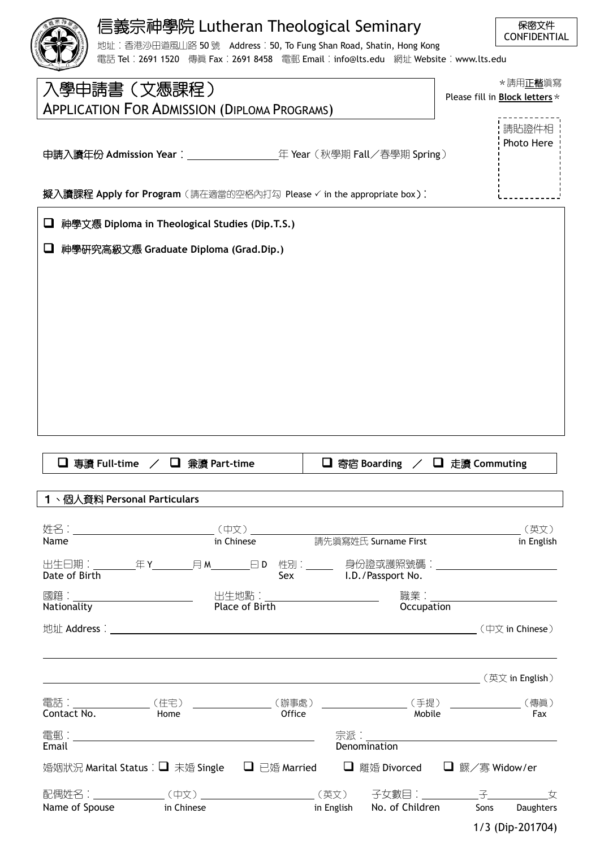|                                                             | 信義宗神學院 Lutheran Theological Seminary                                                                                                                  |                       | 保密文件                                                          |
|-------------------------------------------------------------|-------------------------------------------------------------------------------------------------------------------------------------------------------|-----------------------|---------------------------------------------------------------|
|                                                             | 地址: 香港沙田道風山路 50 號 Address: 50, To Fung Shan Road, Shatin, Hong Kong<br>電話 Tel︰2691 1520 傳眞 Fax︰2691 8458 電郵 Email︰info@lts.edu 網址 Website︰www.lts.edu |                       | <b>CONFIDENTIAL</b>                                           |
| 入學申請書(文憑課程)                                                 |                                                                                                                                                       |                       | * 請用正楷塡寫                                                      |
|                                                             | <b>APPLICATION FOR ADMISSION (DIPLOMA PROGRAMS)</b>                                                                                                   |                       | Please fill in <b>Block letters</b> *                         |
|                                                             |                                                                                                                                                       |                       | 請貼證件相                                                         |
|                                                             |                                                                                                                                                       |                       | Photo Here                                                    |
|                                                             |                                                                                                                                                       |                       |                                                               |
|                                                             | 擬入讀課程 Apply for Program (請在適當的空格內打勾 Please √ in the appropriate box):                                                                                 |                       |                                                               |
| u                                                           | 神學文憑 Diploma in Theological Studies (Dip.T.S.)                                                                                                        |                       |                                                               |
| ⊔                                                           | 神學硏究高級文憑 Graduate Diploma (Grad.Dip.)                                                                                                                 |                       |                                                               |
|                                                             |                                                                                                                                                       |                       |                                                               |
|                                                             |                                                                                                                                                       |                       |                                                               |
|                                                             |                                                                                                                                                       |                       |                                                               |
|                                                             |                                                                                                                                                       |                       |                                                               |
|                                                             |                                                                                                                                                       |                       |                                                               |
|                                                             |                                                                                                                                                       |                       |                                                               |
|                                                             |                                                                                                                                                       |                       |                                                               |
|                                                             |                                                                                                                                                       |                       |                                                               |
|                                                             |                                                                                                                                                       |                       |                                                               |
|                                                             |                                                                                                                                                       |                       |                                                               |
|                                                             |                                                                                                                                                       |                       |                                                               |
|                                                             |                                                                                                                                                       |                       |                                                               |
|                                                             |                                                                                                                                                       |                       |                                                               |
| □ 專讀 Full-time                                              | <b>□</b> 兼讀 Part-time                                                                                                                                 | □ 寄宿 Boarding         | □ 走讀 Commuting                                                |
|                                                             |                                                                                                                                                       |                       |                                                               |
|                                                             |                                                                                                                                                       |                       |                                                               |
|                                                             |                                                                                                                                                       |                       |                                                               |
|                                                             |                                                                                                                                                       |                       |                                                               |
|                                                             |                                                                                                                                                       |                       |                                                               |
|                                                             | 出生曰期:_________年 Y_________月 M________曰 D__性別:_________ 身份證或護照號碼:_________________                                                                     | Sex I.D./Passport No. |                                                               |
|                                                             |                                                                                                                                                       |                       |                                                               |
|                                                             |                                                                                                                                                       |                       |                                                               |
| 1、個人資料 Personal Particulars<br>Date of Birth<br>Nationality |                                                                                                                                                       |                       | in English<br>職業:______________________________<br>Occupation |
|                                                             |                                                                                                                                                       |                       |                                                               |
|                                                             |                                                                                                                                                       |                       |                                                               |
|                                                             | 電話:__________________(住宅) _________________(辦事處) _____________________(手提) _______________(傳眞)                                                        |                       |                                                               |
|                                                             | Office<br>Home                                                                                                                                        | Mobile                | Fax                                                           |
|                                                             |                                                                                                                                                       |                       |                                                               |
|                                                             |                                                                                                                                                       |                       |                                                               |
|                                                             | 婚姻狀況 Marital Status : ■ 末婚 Single ■ 已婚 Married ■ 酣婚 Divorced ■ 鰥/寡 Widow/er                                                                           |                       |                                                               |
| Contact No.<br>Email                                        |                                                                                                                                                       |                       |                                                               |

1/3 (Dip-201704)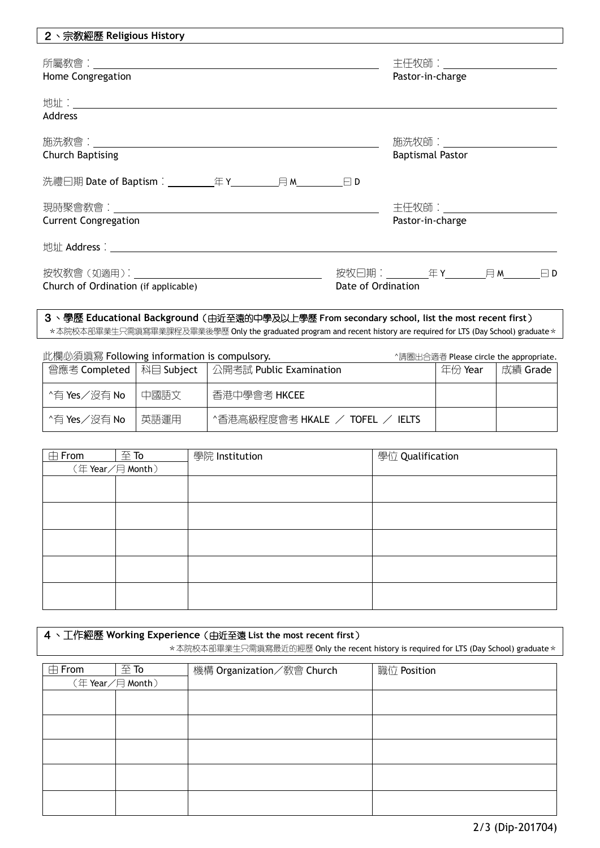| 2、宗教經歷 Religious History                                                                                                                                                                                                       |                             |
|--------------------------------------------------------------------------------------------------------------------------------------------------------------------------------------------------------------------------------|-----------------------------|
|                                                                                                                                                                                                                                | 主任牧師:______________________ |
| Home Congregation                                                                                                                                                                                                              | Pastor-in-charge            |
|                                                                                                                                                                                                                                |                             |
| Address                                                                                                                                                                                                                        |                             |
|                                                                                                                                                                                                                                |                             |
| <b>Church Baptising</b>                                                                                                                                                                                                        | <b>Baptismal Pastor</b>     |
|                                                                                                                                                                                                                                |                             |
|                                                                                                                                                                                                                                |                             |
| <b>Current Congregation</b>                                                                                                                                                                                                    | Pastor-in-charge            |
|                                                                                                                                                                                                                                |                             |
| 按牧教會(如適用): 2000年 - 2000年 - 2000年 - 2000年 - 2000年 - 2000年 - 2000年 - 2000年 - 2000年 - 2000年 - 2000年 - 2000年 - 2000年 - 2000年 - 2000年 - 2000年 - 2000年 - 2000年 - 2000年 - 2000年 - 2000年 - 2000年 - 2000年 - 2000年 - 2000年 - 2000年 - 200 |                             |
| Church of Ordination (if applicable)                                                                                                                                                                                           | Date of Ordination          |
|                                                                                                                                                                                                                                |                             |

## 3、學歷 **Educational Background**(由近至遠的中學及以上學歷 **From secondary school, list the most recent first**) \*本院校本部畢業生只需填寫畢業課程及畢業後學歷 Only the graduated program and recent history are required for LTS (Day School) graduate \*

| 此欄必須填寫 Following information is compulsory. |      |                                                      |         | ^請圈出合適者 Please circle the appropriate. |
|---------------------------------------------|------|------------------------------------------------------|---------|----------------------------------------|
|                                             |      | 曾應考 Completed   科目 Subject   公開考試 Public Examination | 年份 Year | 成績 Grade                               |
| ^有 Yes/沒有 No                                | 中國語文 | 香港中學會考 HKCEE                                         |         |                                        |
| ^有 Yes/沒有 No                                | 英語運用 | ^香港高級程度會考 HKALE / TOFEL /<br><b>IELTS</b>            |         |                                        |

| $\boxplus$ From | $\mathfrak{\underline{\mathfrak{F}}}$ To | 學院 Institution | 學位 Qualification |
|-----------------|------------------------------------------|----------------|------------------|
|                 | (年Year/月 Month)                          |                |                  |
|                 |                                          |                |                  |
|                 |                                          |                |                  |
|                 |                                          |                |                  |
|                 |                                          |                |                  |
|                 |                                          |                |                  |
|                 |                                          |                |                  |
|                 |                                          |                |                  |
|                 |                                          |                |                  |
|                 |                                          |                |                  |
|                 |                                          |                |                  |

| 4、工作經歷 Working Experience (由近至遠 List the most recent first) |                   |                                                                                        |                    |
|-------------------------------------------------------------|-------------------|----------------------------------------------------------------------------------------|--------------------|
|                                                             |                   | *本院校本部畢業生只需塡寫最近的經歷 Only the recent history is required for LTS (Day School) graduate * |                    |
|                                                             | $\overline{4}$ To |                                                                                        |                    |
| $\boxplus$ From                                             |                   | 機構 Organization/教會 Church                                                              | 職位 <b>Position</b> |
|                                                             | 〔年 Year/月 Month〕  |                                                                                        |                    |
|                                                             |                   |                                                                                        |                    |
|                                                             |                   |                                                                                        |                    |
|                                                             |                   |                                                                                        |                    |
|                                                             |                   |                                                                                        |                    |

2/3 (Dip-201704)